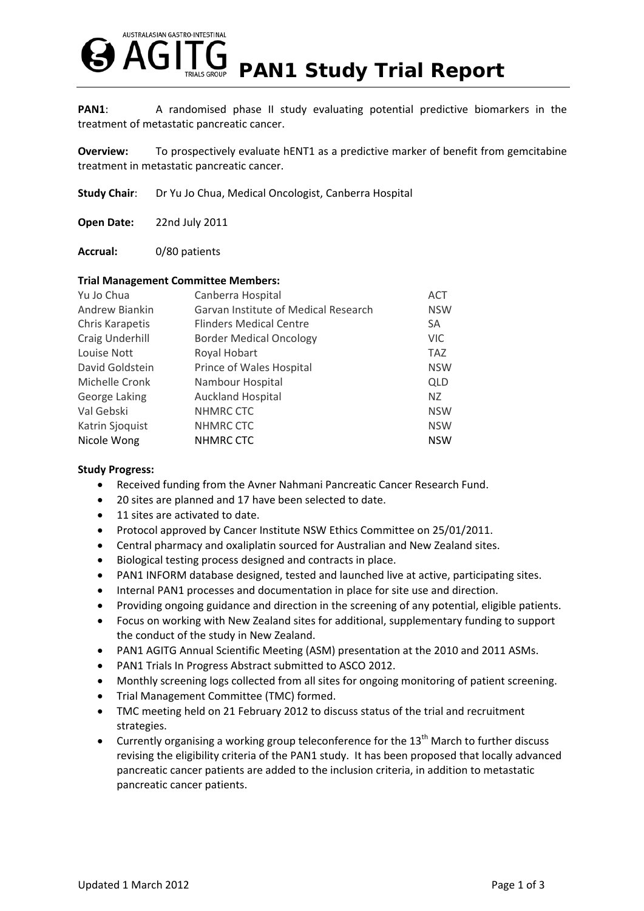

**PAN1:** A randomised phase II study evaluating potential predictive biomarkers in the treatment of metastatic pancreatic cancer.

**Overview:** To prospectively evaluate hENT1 as a predictive marker of benefit from gemcitabine treatment in metastatic pancreatic cancer.

**Study Chair:** Dr Yu Jo Chua, Medical Oncologist, Canberra Hospital

**Open Date:** 22nd July 2011

**Accrual:** 0/80 patients

## **Trial Management Committee Members:**

| Canberra Hospital                    | <b>ACT</b> |
|--------------------------------------|------------|
| Garvan Institute of Medical Research | <b>NSW</b> |
| <b>Flinders Medical Centre</b>       | SA         |
| <b>Border Medical Oncology</b>       | <b>VIC</b> |
| Royal Hobart                         | <b>TAZ</b> |
| Prince of Wales Hospital             | <b>NSW</b> |
| Nambour Hospital                     | <b>QLD</b> |
| <b>Auckland Hospital</b>             | NZ         |
| NHMRC CTC                            | <b>NSW</b> |
| NHMRC CTC                            | <b>NSW</b> |
| <b>NHMRC CTC</b>                     | <b>NSW</b> |
|                                      |            |

## **Study Progress:**

- Received funding from the Avner Nahmani Pancreatic Cancer Research Fund.
- 20 sites are planned and 17 have been selected to date.
- 11 sites are activated to date.
- Protocol approved by Cancer Institute NSW Ethics Committee on 25/01/2011.
- Central pharmacy and oxaliplatin sourced for Australian and New Zealand sites.
- Biological testing process designed and contracts in place.
- PAN1 INFORM database designed, tested and launched live at active, participating sites.
- Internal PAN1 processes and documentation in place for site use and direction.
- Providing ongoing guidance and direction in the screening of any potential, eligible patients.
- Focus on working with New Zealand sites for additional, supplementary funding to support the conduct of the study in New Zealand.
- PAN1 AGITG Annual Scientific Meeting (ASM) presentation at the 2010 and 2011 ASMs.
- PAN1 Trials In Progress Abstract submitted to ASCO 2012.
- Monthly screening logs collected from all sites for ongoing monitoring of patient screening.
- Trial Management Committee (TMC) formed.
- TMC meeting held on 21 February 2012 to discuss status of the trial and recruitment strategies.
- **•** Currently organising a working group teleconference for the 13<sup>th</sup> March to further discuss revising the eligibility criteria of the PAN1 study. It has been proposed that locally advanced pancreatic cancer patients are added to the inclusion criteria, in addition to metastatic pancreatic cancer patients.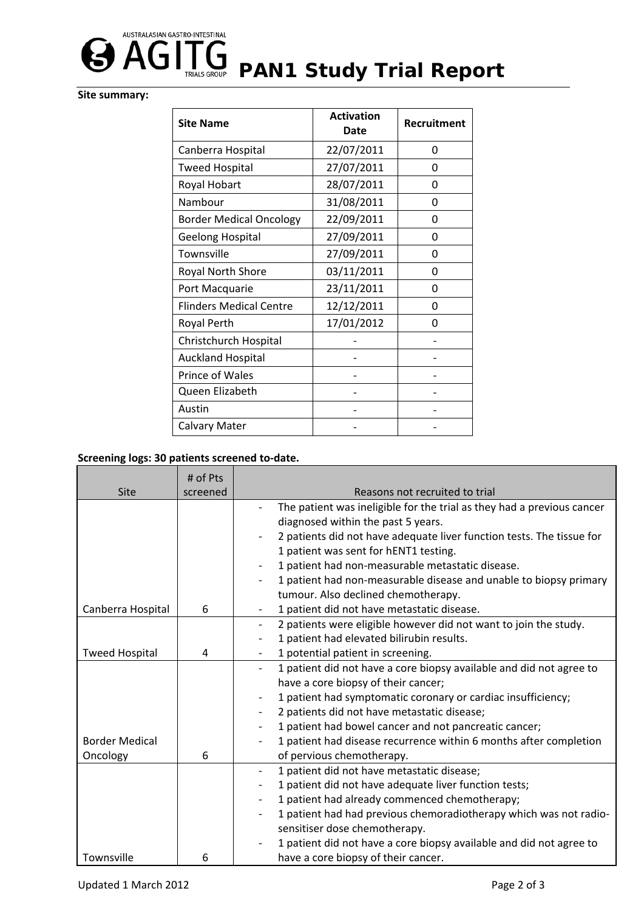

## **Site summary:**

| <b>Site Name</b>               | <b>Activation</b><br><b>Date</b> | <b>Recruitment</b> |
|--------------------------------|----------------------------------|--------------------|
| Canberra Hospital              | 22/07/2011                       | 0                  |
| <b>Tweed Hospital</b>          | 27/07/2011                       | 0                  |
| Royal Hobart                   | 28/07/2011                       | 0                  |
| Nambour                        | 31/08/2011                       | 0                  |
| <b>Border Medical Oncology</b> | 22/09/2011                       | 0                  |
| <b>Geelong Hospital</b>        | 27/09/2011                       | 0                  |
| Townsville                     | 27/09/2011                       | 0                  |
| Royal North Shore              | 03/11/2011                       | 0                  |
| Port Macquarie                 | 23/11/2011                       | 0                  |
| <b>Flinders Medical Centre</b> | 12/12/2011                       | 0                  |
| Royal Perth                    | 17/01/2012                       | O                  |
| Christchurch Hospital          |                                  |                    |
| <b>Auckland Hospital</b>       |                                  |                    |
| Prince of Wales                |                                  |                    |
| Queen Elizabeth                |                                  |                    |
| Austin                         |                                  |                    |
| Calvary Mater                  |                                  |                    |

## **Screening logs: 30 patients screened to‐date.**

|                       | # of Pts |                                                                                              |
|-----------------------|----------|----------------------------------------------------------------------------------------------|
| Site                  | screened | Reasons not recruited to trial                                                               |
|                       |          | The patient was ineligible for the trial as they had a previous cancer                       |
|                       |          | diagnosed within the past 5 years.                                                           |
|                       |          | 2 patients did not have adequate liver function tests. The tissue for                        |
|                       |          | 1 patient was sent for hENT1 testing.                                                        |
|                       |          | 1 patient had non-measurable metastatic disease.                                             |
|                       |          | 1 patient had non-measurable disease and unable to biopsy primary                            |
|                       |          | tumour. Also declined chemotherapy.                                                          |
| Canberra Hospital     | 6        | 1 patient did not have metastatic disease.                                                   |
|                       |          | 2 patients were eligible however did not want to join the study.<br>$\overline{\phantom{a}}$ |
|                       |          | 1 patient had elevated bilirubin results.                                                    |
| <b>Tweed Hospital</b> | 4        | 1 potential patient in screening.                                                            |
|                       |          | 1 patient did not have a core biopsy available and did not agree to                          |
|                       |          | have a core biopsy of their cancer;                                                          |
|                       |          | 1 patient had symptomatic coronary or cardiac insufficiency;                                 |
|                       |          | 2 patients did not have metastatic disease;                                                  |
|                       |          | 1 patient had bowel cancer and not pancreatic cancer;                                        |
| <b>Border Medical</b> |          | 1 patient had disease recurrence within 6 months after completion                            |
| Oncology              | 6        | of pervious chemotherapy.                                                                    |
|                       |          | 1 patient did not have metastatic disease;<br>$\overline{\phantom{a}}$                       |
|                       |          | 1 patient did not have adequate liver function tests;                                        |
|                       |          | 1 patient had already commenced chemotherapy;<br>$\overline{\phantom{a}}$                    |
|                       |          | 1 patient had had previous chemoradiotherapy which was not radio-                            |
|                       |          | sensitiser dose chemotherapy.                                                                |
|                       |          | 1 patient did not have a core biopsy available and did not agree to                          |
| Townsville            | 6        | have a core biopsy of their cancer.                                                          |